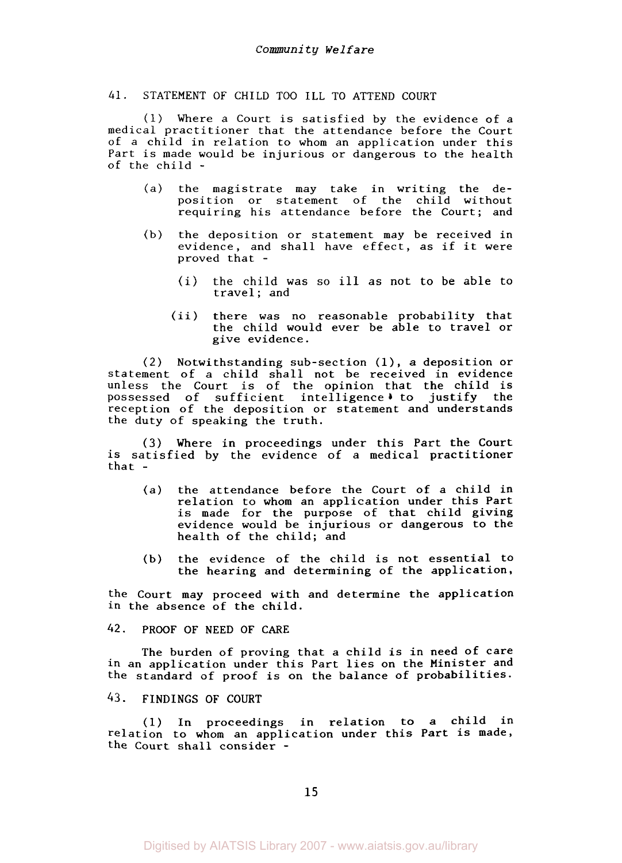### 41. STATEMENT OF CHILD TOO ILL TO ATTEND COURT

(1) Where a Court is satisfied by the evidence of a medical practitioner that the attendance before the Court of a child in relation to whom an application under this Part is made would be injurious or dangerous to the health of the child -

- (a) the magistrate may take in writing the deposition or statement of the child without requiring his attendance before the Court; and
- (b) the deposition or statement may be received in evidence, and shall have effect, as if it were proved that -
	- (i) the child was *so* ill as not to be able to travel; and
	- (ii) there was no reasonable probability that the child would ever be able to travel or give evidence.

(2) Notwithstanding sub-section (1), a deposition or statement of a child shall not be received in evidence unless the Court is of the opinion that the child is possessed of sufficient intelligence to justify the reception of the deposition or statement and understands the duty of speaking the truth.

**(3)** Where in proceedings under this Part the Court is satisfied by the evidence of a medical practitioner that -

- (a) the attendance before the Court of a child in relation to whom an application under this Part is made for the purpose of that child giving evidence would be injurious or dangerous to the health of the child; and
- (b) the evidence of the child is not essential to the hearing and determining of the application,

the Court may proceed with and determine the application in the absence of the child.

*42.* PROOF OF NEED OF CARE

The burden of proving that a child is in need of care in an application under this Part lies on the Minister and the standard of proof is on the balance of probabilities.

43. FINDINGS OF COURT

(1) In proceedings in relation to a child in relation to whom an application under this Part is made, the Court shall consider -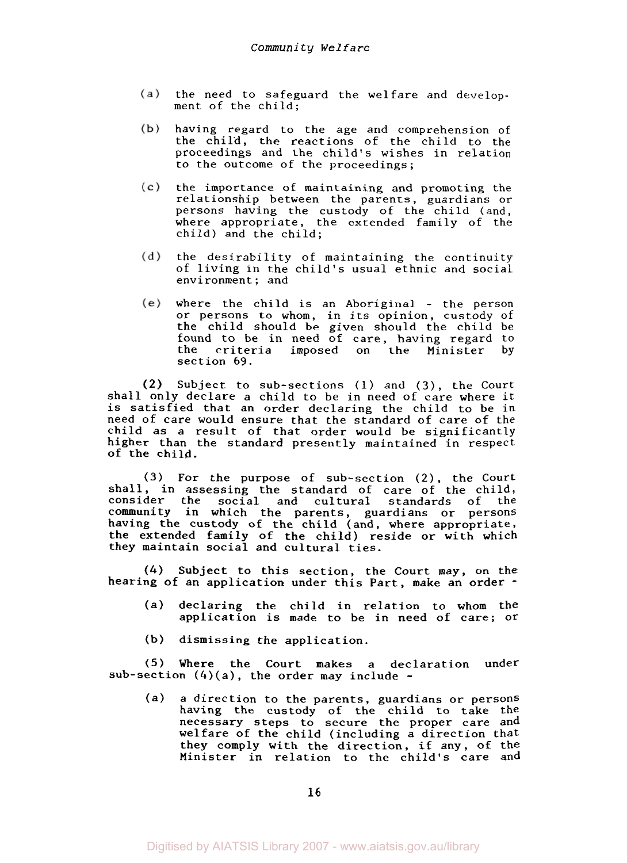- the need to safeguard the welfare and develop- $(a)$ ment of the child;
- $(b)$ having regard to the age and comprehension of the child, the reactions of the child to the proceedings and the child's wishes in relation to the outcome of the proceedings;
- the importance of maintaining and promoting the  $(c)$ relationship between the parents, guardians or persons having the custody of the child (and, where appropriate, the extended family of the child) and the child;
- $(d)$ the desirability of maintaining the continuity of living in the child's usual ethnic and social environment; and
- where the child is an Aboriginal the person or persons to whom, in its opinion, custody of the child should be given should the child be found to be in need of care, having regard to the criteria imposed on the Minister by section **69.**

Subject to sub-sections (1) and *(3),* the Court shall only declare a child to be in need of care where it is satisfied that an order declaring the child to be in need of care would ensure that the standard of care of the child as a result of that order would be significantly higher than the standard presently maintained in respect of the child.

**(3)** For the purpose of sub-section (2), the Court shall, in assessing the standard of care of the child, consider the social and cultural standards of the community in which the parents, guardians or persons having the custody of the child (and, where appropriate, the extended family of the child) reside or with which they maintain social and cultural ties.

*(4)* Subject to this section, the Court may, on the hearing of an application under this Part, make an order -

- (a) declaring the child in relation to whom the application is made to be in need of care; **or**
- **(b)** dismissing the application.

**(5)** Where the Court makes a declaration under sub-section  $(4)(a)$ , the order may include -

(a) a direction to the parents, guardians or persons having the custody of the child to take the necessary steps to secure the proper care and welfare of the child (including a direction that they comply with the direction, if any, of the Minister in relation to the child's care and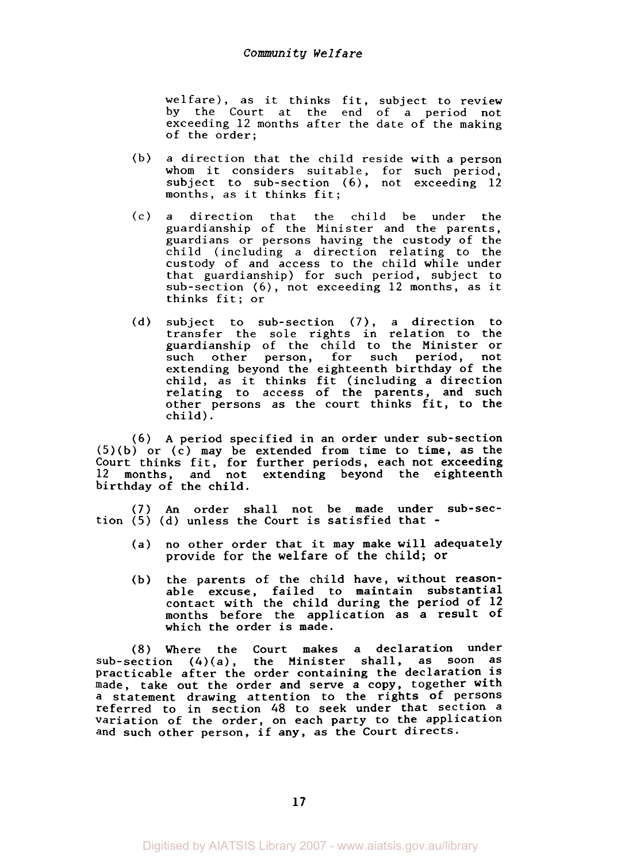welfare), as it thinks fit, subject to review by the Court at the end of a period not exceeding 12 months after the date of the making of the order;

- (b) a direction that the child reside with a person whom it considers suitable, for such period, subject to sub-section *(6),* not exceeding 12 months, as it thinks fit;
- (c) a direction that the child be under the guardianship of the Minister and the parents, guardians or persons having the custody of the child (including a direction relating to the custody of and access to the child while under that guardianship) for such period, subject to sub-section *(6),* not exceeding 12 months, as it thinks fit; or
- (d) subject to sub-section (7), a direction to transfer the sole rights in relation to the guardianship of the child to the Minister or such other person, for such period, not extending beyond the eighteenth birthday of the child, as it thinks fit (including a direction relating to access of the parents, and such other persons as the court thinks fit, to the child).

*(6)* **A** period specified in an order under sub-section (5)(b) or (c) may be extended from time to time, as the Court thinks fit, for further periods, each not exceeding<br>12 months, and not extending beyond the eighteenth extending beyond the eighteenth birthday of the child.

(7) **An** order shall not be made under sub-section  $(5)$   $(d)$  unless the Court is satisfied that -

- (a) no other order that it may make will adequately provide for the welfare of the child; or
- (b) the parents of the child have, without reasonable excuse, failed to maintain substantial contact with the child during the period of **12**  months before the application as a result of which the order is made.

(8) Where the Court makes a declaration under sub-section (4)(a), the Minister shall, as soon as Practicable after the order containing the declaration is made, take out the order and serve a copy, together with a statement drawing attention to the rights of persons referred to in section 48 to seek under that section a variation of the order, on each party to the application and such other person, if any, as the Court directs.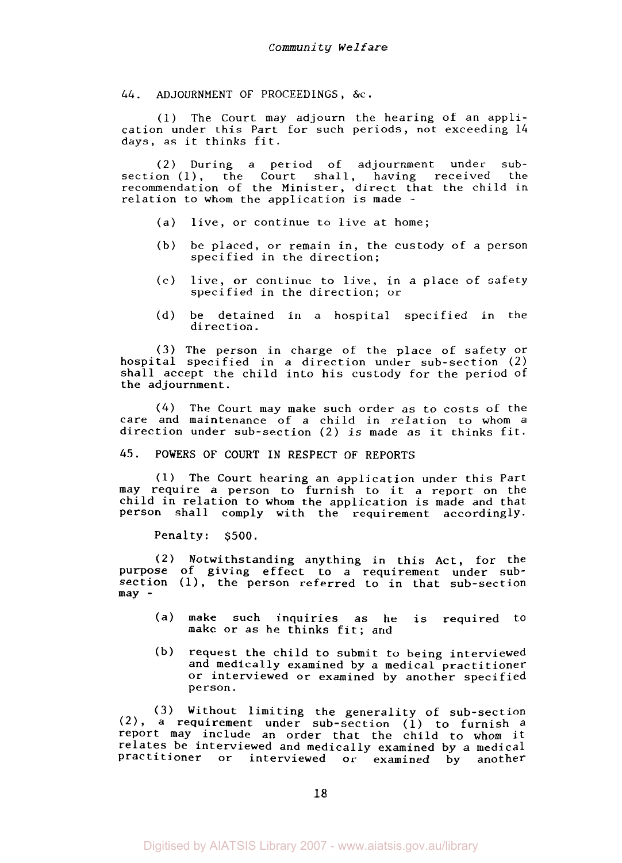44. ADJOURNMENT OF PROCEEDINGS, &c.

(1) The Court may adjourn the hearing of an application under this Part for such periods, not exceeding 14 days, as it thinks fit.

(2) During a period of adjournment under subsection (l), the Court shall, having received the recommendation of the Minister, direct that the child in relation to whom the application is made -

- (a) live, or continue to live at home;
- (b) be placed, or remain in, the custody of a person specified in the direction;
- (c) live, or continue to live, in a place of safety specified in the direction; or
- (d) be detained in a hospital specified in the direction.

**(3)** The person in charge of the place of safety or hospital specified in a direction under sub-section (2) shall accept the child into his custody for the period of the adjournment.

*(4)* The Court may make such order as to costs of the care and maintenance of a child in relation to whom a direction under sub-section (2) is made as it thinks fit.

*45.* POWERS OF COURT IN RESPECT OF REPORTS

(1) The Court hearing an application under this Part may require a person to furnish to it a report on the child in relation to whom the application is made and that person shall comply with the requirement accordingly.

Penalty: *\$500.* 

(2) Notwithstanding anything in this Act, for the purpose of giving effect to a requirement under subsection (I), the person referred to in that sub-section may -

- (a) make such inquiries as he is required to make or as he thinks fit; and
- (b) request the child to submit to being interviewed and medically examined by a medical practitioner or interviewed or examined by another specified person.

**(3)** Without limiting the generality of sub-section  $(2)$ , a requirement under sub-section  $(1)$  to furnish a report may include an order that the child to whom it relates be interviewed and medically examined by a medical Practitioner or interviewed or examined by another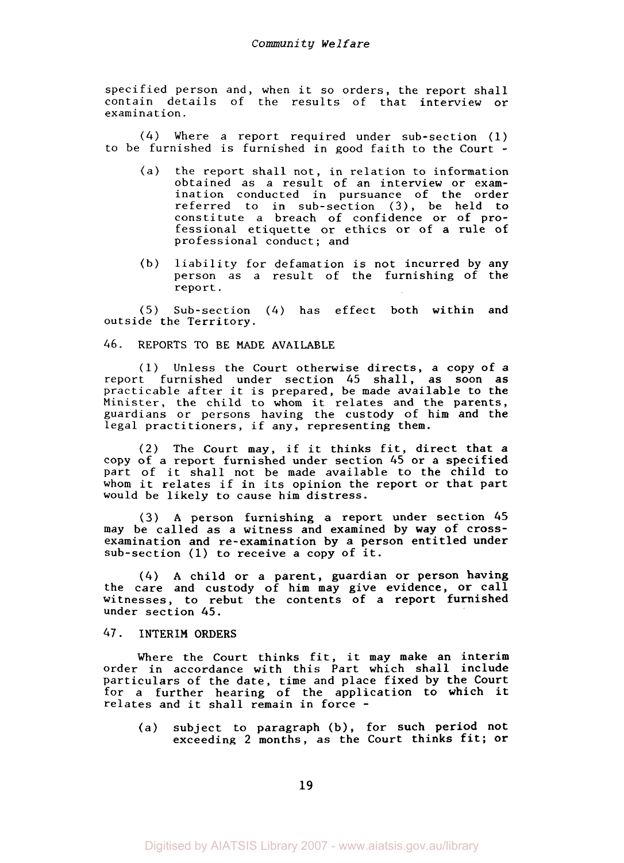specified person and, when it *so* orders, the report shall contain details of the results of that interview or examination.

*(4)* Where a report required under sub-section (1) to be furnished is furnished in good faith to the Court -

- (a) the report shall not, in relation to information obtained as a result of an interview or examination conducted in pursuance of the order referred to in sub-section **(3),** be held to constitute a breach of confidence or of professional etiquette or ethics or of a rule of professional conduct; and
- (b) liability for defamation is not incurred by any person as a result of the furnishing of the report.

(5) Sub-section *(4)* has effect both within and outside the Territory.

### *46.* **REPORTS** TO **BE MADE AVAILABLE**

(1) Unless the Court otherwise directs, a copy of a report furnished under section *45* shall, as soon as practicable after it is prepared, be made available to the Minister, the child to whom it relates and the parents, guardians or persons having the custody of him and the legal practitioners, if any, representing them.

(2) The Court may, if it thinks fit, direct that a copy of a report furnished under section *45* or a specified part of it shall not be made available to the child to whom it relates if in its opinion the report or that part would be likely to cause him distress.

*(3)* **A** person furnishing a report under section *45*  may be called as a witness and examined by way of crossexamination and re-examination by a person entitled under sub-section (1) to receive a copy of it.

*(4)* **A** child or a parent, guardian or person having the care and custody of him may give evidence, or call witnesses, to rebut the contents of a report furnished under section 45.

# *47.* **INTERIM ORDERS**

Where the Court thinks fit, it may make an interim order in accordance with this Part which shall include particulars of the date, time and place fixed by the Court for a further hearing of the application to which it relates and it shall remain in force -

(a) subject to paragraph (b), for such period not exceeding 2 months, as the Court thinks fit; or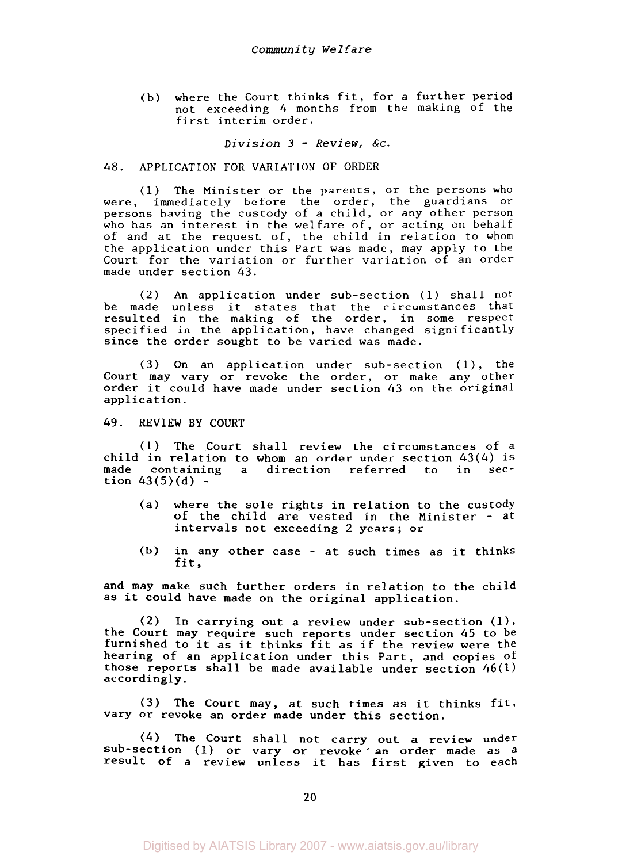(b) where the Court thinks fit, for a further period not exceeding 4 months from the making of the first interim order.

*Division 3* - *Review,* **&c.** 

# 48. APPLICATION FOR VARIATION OF ORDER

(1) The Minister or the parents, or the persons who were, immediately before the order, the guardians or persons having the custody of a child, or any other person who has an interest in the welfare of, or acting on behalf of and at the request of, the child in relation to whom the application under this Part was made, may apply to the Court for the variation or further variation of an order made under section *43.* 

(2) An application under sub-section (1) shall not be made unless it states that the circumstances that resulted in the making of the order, in some respect specified in the application, have changed significantly since the order sought to be varied was made.

(3) On an application under sub-section (l), the Court may vary or revoke the order, or make any other order it could have made under section *43* on the original application.

### *49.* REVIEW BY COURT

**(1)** The Court shall review the circumstances of a child in relation to whom an order under section  $43(4)$  is made containing a direction referred to in secmade containing a direction referred tion  $43(5)(d)$  -

- (a) where the sole rights in relation to the custody of the child are vested in the Minister - at intervals not exceeding 2 years; or
- fit, (b) in any other case - at such times as it thinks

and may make such further orders in relation to the child as it could have made on the original application.

(2) In carrying out a review under sub-section **(11,**  the Court may require such reports under section 45 to **be**  furnished to it as it thinks fit as if the review were the hearing of an application under this Part, and copies of those reports shall be made available under section  $46(1)$ accordingly.

(3) The Court may, at such times as it thinks fit, vary or revoke an order made under this section.

*(4)* The Court shall not carry out a review under sub-section (1) or vary or revoke an order made as a result of a review unless it has first given to each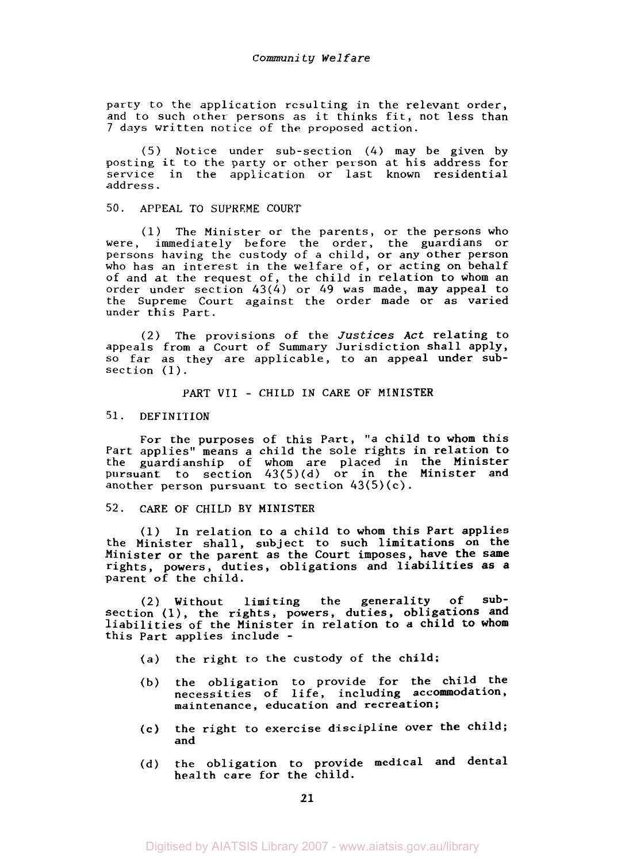party to the application resulting in the relevant order, and to such other persons as it thinks fit, not less than 7 days written notice of the proposed action.

(5) Notice under sub-section (4) may be given by posting it to the party or other person at his address for service in the application or last known residential address.

### 50. APPEAL TO SUPREME COURT

(1) The Minister or the parents, or the persons who were, immediately before the order, the guardians or persons having the custody of a child, or any other person who has an interest in the welfare of, or acting on behalf of and at the request of, the child in relation to whom an order under section 43(4) or *49* was made, may appeal to the Supreme Court against the order made or as varied under this Part.

(2) The provisions of the Justices Act relating to appeals from a Court of Summary Jurisdiction shall apply, so far *as* they are applicable, to an appeal under subsection (1).

PART VI1 - CHILD IN CARE OF MINISTER

# 51. DEFINITION

For the purposes of this Part, *"a* child to whom this Part applies" means a child the sole rights in relation to the guardianship of whom are placed in the Minister pursuant to section 43(5)(d) or in the Minister and another person pursuant to section 43(5)(c).

# 52. CARE OF CHILD BY MINISTER

(1) In relation to **a** child to whom this Part applies the Minister **shall,** subject to such limitations on the Minister or the parent as the Court imposes, have the same rights, powers, duties, obligations and liabilities as **a**  Parent of the child.

(2) Without limiting the generality of subsection (l), the rights, powers, duties, obligations and liabilities of the Minister in relation to a child to whom this Part applies include -

- *(a)* the right to the custody of the child;
- (b) the obligation to provide **for** the child the necessities of life, including accommodation, maintenance, education and recreation;
- the right to exercise discipline over the child; and (c)
- (d) the obligation to provide medical and dental health care for the child.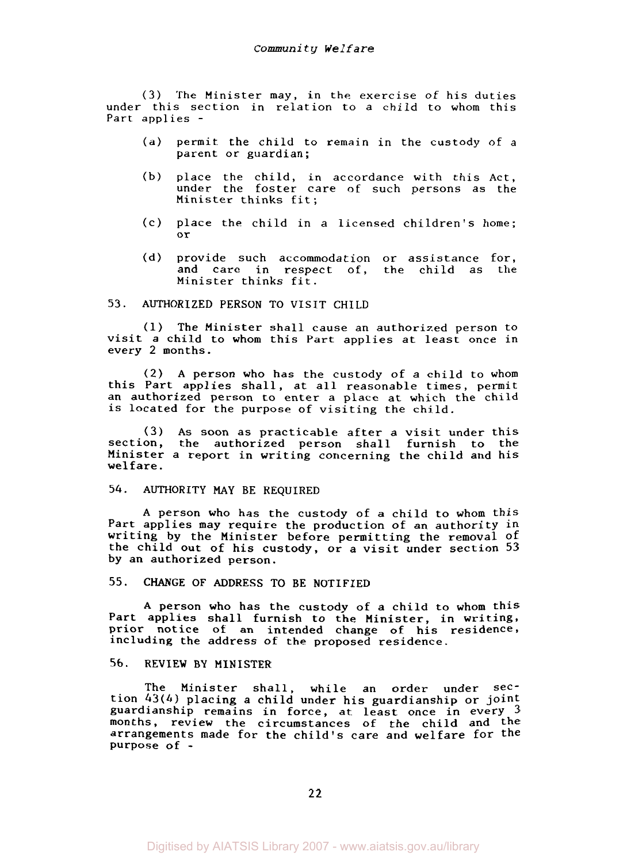*(3)* The Minister may, in the exercise of his duties under this section in relation to a child to whom this Part applies -

- (a) permit the child to remain in the custody of a parent or guardian;
- (b) place the child, in accordance with this Act, under the foster care of such persons as the Minister thinks fit;
- (c) place the child in a licensed children's home; or
- (d) provide such accommodation or assistance for, and care in respect of, the child as the Minister thinks fit.

# *53.* AUTHORIZED PERSON TO VISIT CHILD

(1) The Minister shall cause an authorized person to visit a child to whom this Part applies at least once in every 2 months.

(2) A person who has the custody of a child to whom this Part applies shall, at all reasonable times, permit an authorized person to enter a place at which the child is located for the purpose of visiting the child.

**(3)** As soon as practicable after a visit under this section, the authorized person shall furnish to the Minister a report in writing concerning the child and his welfare.

# *54.* AUTHORITY MAY BE REQUIRED

**A** person who has the custody of a child to whom this Part applies may require the production of an authority in writing by the Minister before permitting the removal **of**  the child out of his custody, or a visit under section *53*  by an authorized person.

### *55.* CHANGE OF ADDRESS TO BE NOTIFIED

A person who has the custody of a child to whom this Part applies shall furnish to the Minister, in writing, prior notice of an intended change of his residence, including the address of the proposed residence.

### 56. REVIEW BY MINISTER

The Minister shall, while an order under section *43(4)* placing a child under his guardianship or joint guardianship remains in force, at least once in every *3*  months, review the circumstances of the child and the arrangements made for the child's care and welfare for the purpose of -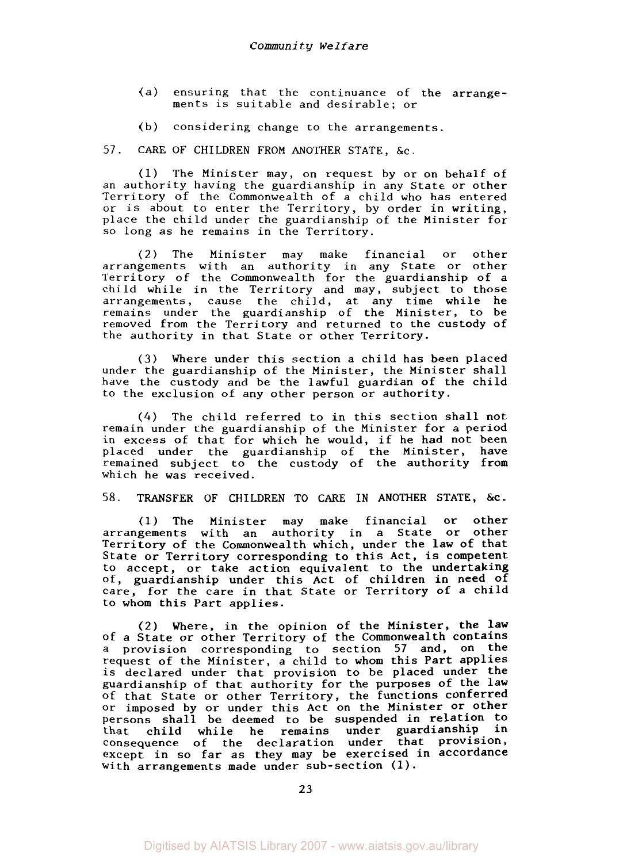- (a) ensuring that the continuance of the arrangements is suitable and desirable; or
- (b) considering change to the arrangements.

57. CARE OF CHILDREN FROM ANOTHER STATE, &c.

(1) The Minister may, on request by or on behalf of an authority having the guardianship in any State or other Territory of the Commonwealth of a child who has entered or is about to enter the Territory, by order in writing, place the child under the guardianship of the Minister for *so* long as he remains in the Territory.

(2) The Minister may make financial or other arrangements with an authority in any State or other Territory of the Commonwealth for the guardianship of a child while in the Territory and may, subject to those arrangements, cause the child, at any time while he remains under the guardianship of the Minister, to be removed from the Territory and returned to the custody of the authority in that State or other Territory.

**(3)** Where under this section a child has been placed under the guardianship of the Minister, the Minister shall have the custody and be the lawful guardian of the child to the exclusion of any other person or authority.

*(4)* The child referred to in this section shall not remain under the guardianship of the Minister for a period in excess of that for which he would, if he had not been placed under the guardianship of the Minister, have remained subject to the custody of the authority from which he was received.

#### 58. TRANSFER OF CHILDREN TO CARE IN ANOTHER STATE, &c.

(1) The Minister may make financial or other arrangements with an authority in a State or other Territory of the Commonwealth which, under the law of that State or Territory corresponding to this Act, is competent to accept, or take action equivalent to the undertaking of, guardianship under this Act of children in need **of**  care, for the care in that State or Territory of a child to whom this Part applies.

(2) Where, in the opinion of the Minister, the law of a State or other Territory of the Commonwealth contains a provision corresponding to section 57 and, on the request of the Minister, a child to whom this Part applies is declared under that provision to be placed under the guardianship of that authority for the purposes of the law of that State or other Territory, the functions conferred or imposed by or under this Act on the Minister or other persons shall be deemed to be suspended in relation to that child while he remains under guardianship in consequence of the declaration under that Provision, except in so far as they may be exercised in accordance with arrangements made under sub-section (1).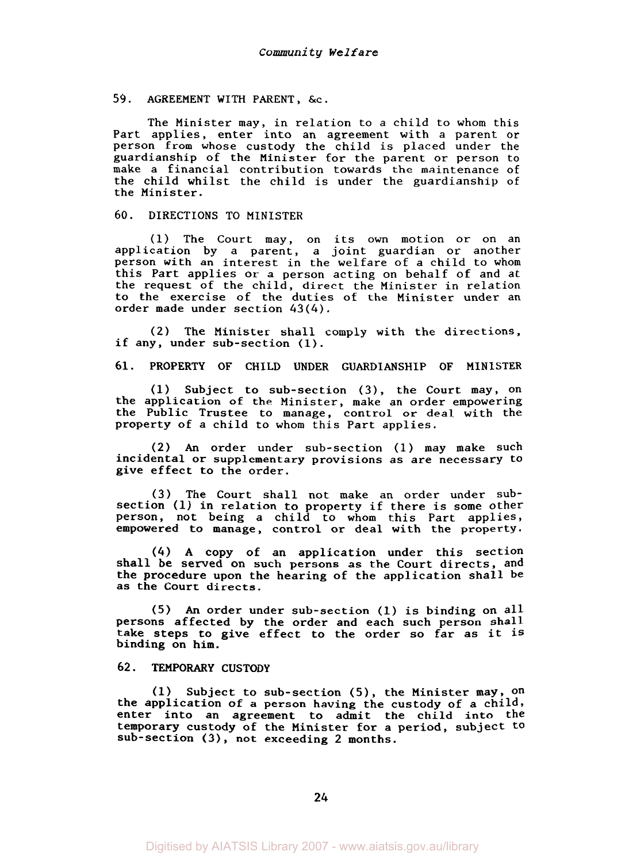### 59. AGREEMENT WITH PARENT, &c.

The Minister may, in relation to a child to whom this Part applies, enter into an agreement with a parent or person from whose custody the child is placed under the guardianship of the Minister for the parent or person to make a financial contribution towards the maintenance of the child whilst the child is under the guardianship of the Minister.

### 60. DIRECTIONS TO MINISTER

(1) The Court may, on its own motion or on an application by a parent, a joint guardian or another person with an interest in the welfare of a child to whom this Part applies or a person acting on behalf of and at the request of the child, direct the Minister in relation to the exercise of the duties of the Minister under an order made under section *43(4).* 

(2) The Minister shall comply with the directions, if any, under sub-section (1).

**61.** PROPERTY OF CHILD UNDER GUARDIANSHIP OF MINISTER

(1) Subject to sub-section *(3),* the Court may, on the application of the Minister, make an order empowering the Public Trustee to manage, control or deal with the property of a child to whom this Part applies.

**(2) An** order under sub-section (1) may make such incidental or supplementary provisions as are necessary to give effect to the order.

**(3)** The Court shall not make an order under subsection (1) in relation to property if there is some other person, not being a child to whom this Part applies, empowered to manage, control or deal with the property.

*(4)* **A** copy of an application under this section shall be served on such persons as the Court directs, and the procedure upon the hearing of the application shall be as the Court directs.

(5) **An** order under sub-section (1) is binding on all Persons affected by the order and each such person shall take steps to give effect to the order so far as it is binding on him.

# **62.** TEMPORARY CUSTODY

**(1)** Subject to sub-section (5), the Minister may, on the application of a person having the custody of a child, enter into an agreement to admit the child into the temporary custody of the Minister **for a** period, subject to sub-section **(3),** not exceeding **2** months.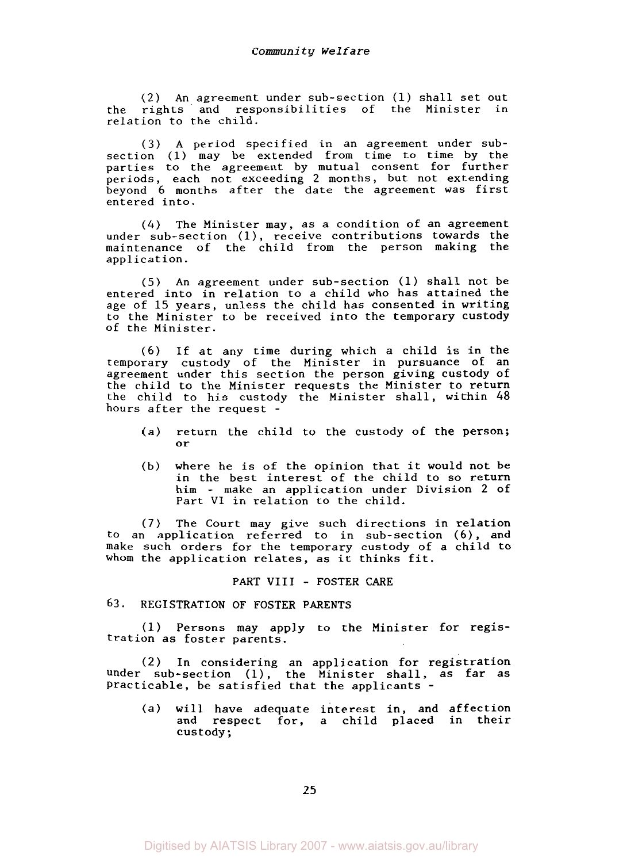**(2)** An agreement under sub-section (1) shall set out the rights and responsibilities of the Minister in relation to the child.

(3) A period specified in an agreement under subsection (1) may be extended from time to time by the parties to the agreement by mutual consent for further periods, each not exceeding 2 months, but not extending beyond *6* months after the date the agreement was first entered into.

*(4)* The Minister may, as a condition of an agreement under sub-section **(l),** receive contributions towards the maintenance of the child from the person making the application.

(5) An agreement under sub-section (1) shall not be entered into in relation to a child who has attained the age of 15 years, unless the child has consented in writing to the Minister to be received into the temporary custody of the Minister.

(6) If at any time during which a child is in the temporary custody of the Minister in pursuance of an agreement under this section the person giving custody of the child to the Minister requests the Minister to return the child to his custody the Minister shall, within *48*  hours after the request -

- (a) return the child to the custody of the person; or
- (b) where he is of the opinion that it would not be in the best interest of the child to **so** return him - make an application under Division 2 of Part VI in relation to the child.

(7) The Court may give such directions in relation to an application referred to in sub-section *(6),* and make such orders for the temporary custody of a child to whom the application relates, as it thinks fit.

### PART **VIII** - FOSTER CARE

## 63. REGISTRATION OF FOSTER PARENTS

(1) Persons may apply to the Minister for regis- tration as foster parents.

(2) In considering an application for registration under sub-section (1), the Minister shall, as far as Practicable, be satisfied that the applicants -

(a) will have adequate interest in, and affection and respect for, a child placed in their<br>custody;

*25*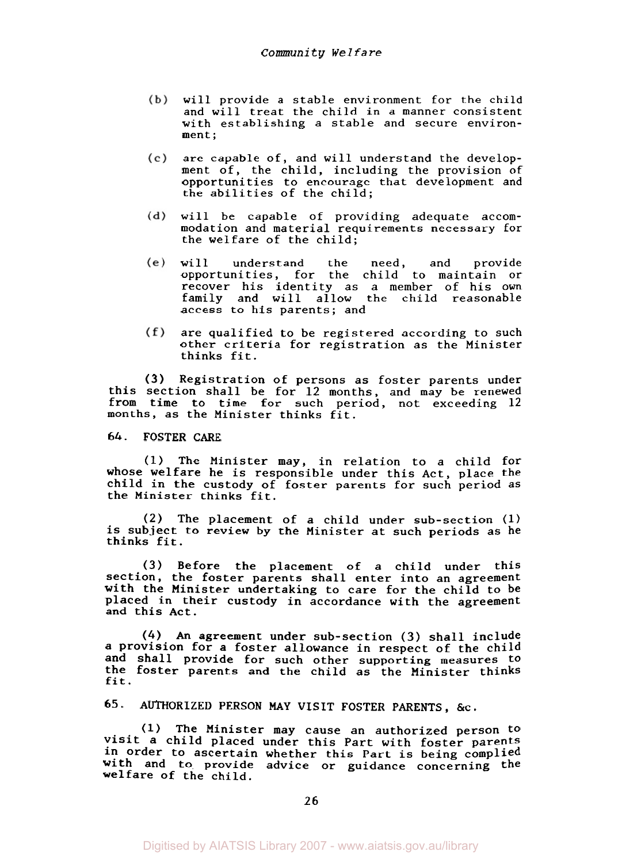- (b) will provide a stable environment for the child and will treat the child in a manner consistent with establishing a stable and secure environ-<br>ment;
- $(c)$ are capable of, and will understand the development of, the child, including the provision of opportunities to encourage that development and the abilities of the child;
- will be capable of providing adequate accom- $(d)$ modation and material requirements necessary for the welfare of the child;
- $(e)$ will understand the need, and provide opportunities, for the child to maintain or recover his identity as a member of his own family and will allow the child reasonable access to his parents; and
- $(f)$ are qualified to be registered according to such other criteria for registration as the Minister thinks fit.

(3) Registration of persons as foster parents under this section shall be for 12 months, and may be renewed from time to time for such period, not exceeding 12 months, as the Minister thinks fit.

# *64.* FOSTER CARE

(1) The Minister may, in relation to a child for whose welfare he is responsible under this Act, place the child in the custody of foster parents for such period as the Minister thinks fit.

*(2)* The placement of a child under sub-section (1) is subject to review by the Minister at such periods as he thinks fit.

**(3)** Before the placement of a child under this section, the foster parents shall enter into an agreement with the Minister undertaking to care for the child to be placed in their custody in accordance with the agreement and this Act.

*(4)* **An** agreement under sub-section **(3)** shall include a provision for a foster allowance in respect of the child and shall provide for such other supporting measures to the foster parents and the child as the Minister thinks fit.

*65.* AUTHORIZED PERSON MAY VISIT FOSTER PARENTS, &c.

(1) The Minister may cause an authorized person **to**  visit a child placed under this Part with foster parents in order to ascertain whether this Part is being complied with and to provide advice or guidance concerning the welfare of the child.